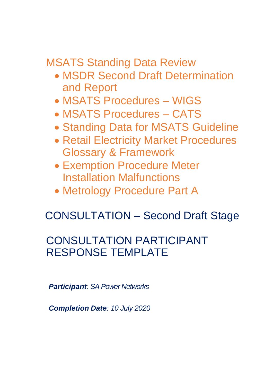MSATS Standing Data Review

- MSDR Second Draft Determination and Report
- MSATS Procedures WIGS
- MSATS Procedures CATS
- Standing Data for MSATS Guideline
- Retail Electricity Market Procedures Glossary & Framework
- Exemption Procedure Meter Installation Malfunctions
- Metrology Procedure Part A

# CONSULTATION – Second Draft Stage

# CONSULTATION PARTICIPANT RESPONSE TEMPLATE

*Participant: SA Power Networks*

*Completion Date: 10 July 2020*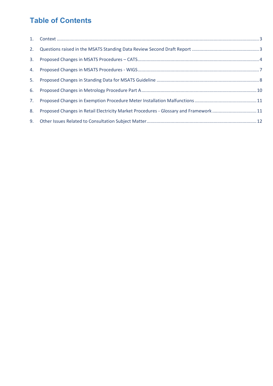## **Table of Contents**

| 8. | Proposed Changes in Retail Electricity Market Procedures - Glossary and Framework11 |  |
|----|-------------------------------------------------------------------------------------|--|
|    |                                                                                     |  |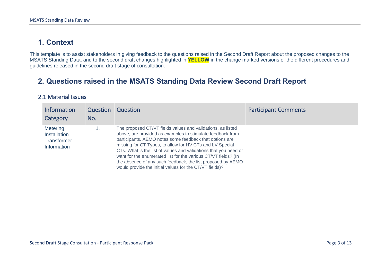### **1. Context**

This template is to assist stakeholders in giving feedback to the questions raised in the Second Draft Report about the proposed changes to the MSATS Standing Data, and to the second draft changes highlighted in **YELLOW** in the change marked versions of the different procedures and guidelines released in the second draft stage of consultation.

#### **2. Questions raised in the MSATS Standing Data Review Second Draft Report**

#### 2.1 Material Issues

<span id="page-2-1"></span><span id="page-2-0"></span>

| Information<br>Category                                       | Question<br>No. | Question                                                                                                                                                                                                                                                                                                                                                                                                                                                                                                         | <b>Participant Comments</b> |
|---------------------------------------------------------------|-----------------|------------------------------------------------------------------------------------------------------------------------------------------------------------------------------------------------------------------------------------------------------------------------------------------------------------------------------------------------------------------------------------------------------------------------------------------------------------------------------------------------------------------|-----------------------------|
| <b>Metering</b><br>Installation<br>Transformer<br>Information |                 | The proposed CT/VT fields values and validations, as listed<br>above, are provided as examples to stimulate feedback from<br>participants. AEMO notes some feedback that options are<br>missing for CT Types, to allow for HV CTs and LV Special<br>CTs. What is the list of values and validations that you need or<br>want for the enumerated list for the various CT/VT fields? (In<br>the absence of any such feedback, the list proposed by AEMO<br>would provide the initial values for the CT/VT fields)? |                             |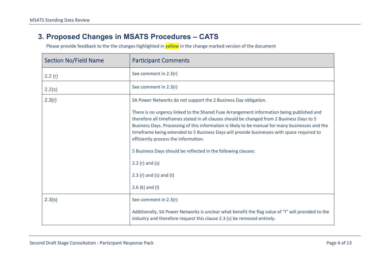#### **3. Proposed Changes in MSATS Procedures – CATS**

<span id="page-3-0"></span>

| <b>Section No/Field Name</b> | <b>Participant Comments</b>                                                                                                                                                                                                                                                                                                                                                                                                                                                                                                                                                                                                                      |
|------------------------------|--------------------------------------------------------------------------------------------------------------------------------------------------------------------------------------------------------------------------------------------------------------------------------------------------------------------------------------------------------------------------------------------------------------------------------------------------------------------------------------------------------------------------------------------------------------------------------------------------------------------------------------------------|
| 2.2(r)                       | See comment in 2.3(r)                                                                                                                                                                                                                                                                                                                                                                                                                                                                                                                                                                                                                            |
| 2.2(s)                       | See comment in 2.3(r)                                                                                                                                                                                                                                                                                                                                                                                                                                                                                                                                                                                                                            |
| 2.3(r)                       | SA Power Networks do not support the 2 Business Day obligation.<br>There is no urgency linked to the Shared Fuse Arrangement information being published and<br>therefore all timeframes stated in all clauses should be changed from 2 Business Days to 5<br>Business Days. Processing of this information is likely to be manual for many businesses and the<br>timeframe being extended to 5 Business Days will provide businesses with space required to<br>efficiently process the information.<br>5 Business Days should be reflected in the following clauses:<br>2.2 $(r)$ and $(s)$<br>2.3 $(r)$ and $(s)$ and $(t)$<br>2.6 (k) and (l) |
| 2.3(s)                       | See comment in 2.3(r)<br>Additionally, SA Power Networks is unclear what benefit the flag value of "I" will provided to the<br>industry and therefore request this clause 2.3 (s) be removed entirely.                                                                                                                                                                                                                                                                                                                                                                                                                                           |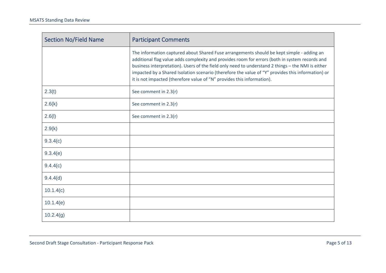| <b>Section No/Field Name</b> | <b>Participant Comments</b>                                                                                                                                                                                                                                                                                                                                                                                                                                                     |
|------------------------------|---------------------------------------------------------------------------------------------------------------------------------------------------------------------------------------------------------------------------------------------------------------------------------------------------------------------------------------------------------------------------------------------------------------------------------------------------------------------------------|
|                              | The information captured about Shared Fuse arrangements should be kept simple - adding an<br>additional flag value adds complexity and provides room for errors (both in system records and<br>business interpretation). Users of the field only need to understand 2 things - the NMI is either<br>impacted by a Shared Isolation scenario (therefore the value of "Y" provides this information) or<br>it is not impacted (therefore value of "N" provides this information). |
| 2.3(t)                       | See comment in 2.3(r)                                                                                                                                                                                                                                                                                                                                                                                                                                                           |
| 2.6(k)                       | See comment in 2.3(r)                                                                                                                                                                                                                                                                                                                                                                                                                                                           |
| 2.6(l)                       | See comment in 2.3(r)                                                                                                                                                                                                                                                                                                                                                                                                                                                           |
| 2.9(k)                       |                                                                                                                                                                                                                                                                                                                                                                                                                                                                                 |
| 9.3.4(c)                     |                                                                                                                                                                                                                                                                                                                                                                                                                                                                                 |
| 9.3.4(e)                     |                                                                                                                                                                                                                                                                                                                                                                                                                                                                                 |
| 9.4.4(c)                     |                                                                                                                                                                                                                                                                                                                                                                                                                                                                                 |
| 9.4.4(d)                     |                                                                                                                                                                                                                                                                                                                                                                                                                                                                                 |
| 10.1.4(c)                    |                                                                                                                                                                                                                                                                                                                                                                                                                                                                                 |
| 10.1.4(e)                    |                                                                                                                                                                                                                                                                                                                                                                                                                                                                                 |
| 10.2.4(g)                    |                                                                                                                                                                                                                                                                                                                                                                                                                                                                                 |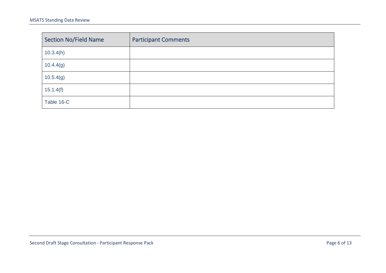| Section No/Field Name | <b>Participant Comments</b> |
|-----------------------|-----------------------------|
| 10.3.4(h)             |                             |
| 10.4.4(g)             |                             |
| 10.5.4(g)             |                             |
| 15.1.4(f)             |                             |
| Table 16-C            |                             |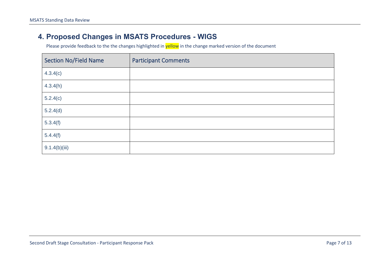#### **4. Proposed Changes in MSATS Procedures - WIGS**

<span id="page-6-0"></span>

| <b>Section No/Field Name</b> | <b>Participant Comments</b> |
|------------------------------|-----------------------------|
| 4.3.4(c)                     |                             |
| 4.3.4(h)                     |                             |
| 5.2.4(c)                     |                             |
| 5.2.4(d)                     |                             |
| 5.3.4(f)                     |                             |
| 5.4.4(f)                     |                             |
| 9.1.4(b)(iii)                |                             |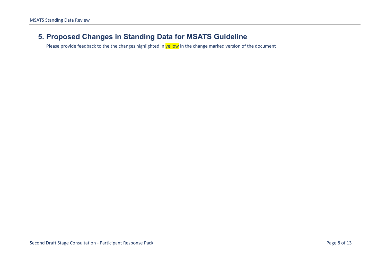#### <span id="page-7-0"></span>**5. Proposed Changes in Standing Data for MSATS Guideline**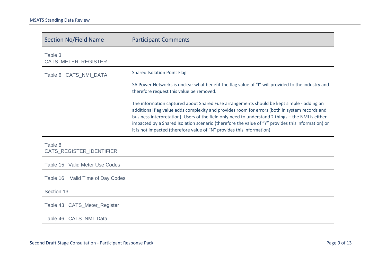| <b>Section No/Field Name</b>        | <b>Participant Comments</b>                                                                                                                                                                                                                                                                                                                                                                                                                                                     |
|-------------------------------------|---------------------------------------------------------------------------------------------------------------------------------------------------------------------------------------------------------------------------------------------------------------------------------------------------------------------------------------------------------------------------------------------------------------------------------------------------------------------------------|
| Table 3<br>CATS_METER_REGISTER      |                                                                                                                                                                                                                                                                                                                                                                                                                                                                                 |
| Table 6 CATS_NMI_DATA               | <b>Shared Isolation Point Flag</b>                                                                                                                                                                                                                                                                                                                                                                                                                                              |
|                                     | SA Power Networks is unclear what benefit the flag value of "I" will provided to the industry and<br>therefore request this value be removed.                                                                                                                                                                                                                                                                                                                                   |
|                                     | The information captured about Shared Fuse arrangements should be kept simple - adding an<br>additional flag value adds complexity and provides room for errors (both in system records and<br>business interpretation). Users of the field only need to understand 2 things - the NMI is either<br>impacted by a Shared Isolation scenario (therefore the value of "Y" provides this information) or<br>it is not impacted (therefore value of "N" provides this information). |
| Table 8<br>CATS_REGISTER_IDENTIFIER |                                                                                                                                                                                                                                                                                                                                                                                                                                                                                 |
| Table 15 Valid Meter Use Codes      |                                                                                                                                                                                                                                                                                                                                                                                                                                                                                 |
| Table 16 Valid Time of Day Codes    |                                                                                                                                                                                                                                                                                                                                                                                                                                                                                 |
| Section 13                          |                                                                                                                                                                                                                                                                                                                                                                                                                                                                                 |
| Table 43 CATS_Meter_Register        |                                                                                                                                                                                                                                                                                                                                                                                                                                                                                 |
| Table 46 CATS_NMI_Data              |                                                                                                                                                                                                                                                                                                                                                                                                                                                                                 |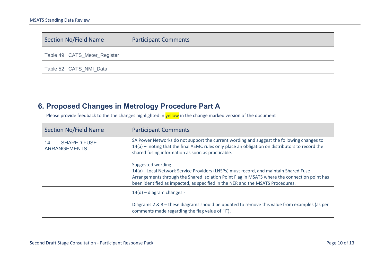| Section No/Field Name        | <b>Participant Comments</b> |
|------------------------------|-----------------------------|
| Table 49 CATS_Meter_Register |                             |
| Table 52 CATS_NMI_Data       |                             |

### **6. Proposed Changes in Metrology Procedure Part A**

<span id="page-9-0"></span>

| <b>Section No/Field Name</b>                     | <b>Participant Comments</b>                                                                                                                                                                                                                                                                    |
|--------------------------------------------------|------------------------------------------------------------------------------------------------------------------------------------------------------------------------------------------------------------------------------------------------------------------------------------------------|
| <b>SHARED FUSE</b><br>14.<br><b>ARRANGEMENTS</b> | SA Power Networks do not support the current wording and suggest the following changes to<br>14(a) - noting that the final AEMC rules only place an obligation on distributors to record the<br>shared fusing information as soon as practicable.                                              |
|                                                  | Suggested wording -<br>14(a) - Local Network Service Providers (LNSPs) must record, and maintain Shared Fuse<br>Arrangements through the Shared Isolation Point Flag in MSATS where the connection point has<br>been identified as impacted, as specified in the NER and the MSATS Procedures. |
|                                                  | $14(d)$ – diagram changes -                                                                                                                                                                                                                                                                    |
|                                                  | Diagrams 2 & 3 - these diagrams should be updated to remove this value from examples (as per<br>comments made regarding the flag value of "I").                                                                                                                                                |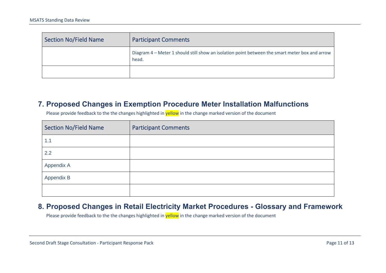| Section No/Field Name | <b>Participant Comments</b>                                                                             |
|-----------------------|---------------------------------------------------------------------------------------------------------|
|                       | Diagram 4 - Meter 1 should still show an isolation point between the smart meter box and arrow<br>head. |
|                       |                                                                                                         |

#### **7. Proposed Changes in Exemption Procedure Meter Installation Malfunctions**

Please provide feedback to the the changes highlighted in **yellow** in the change marked version of the document

| <b>Section No/Field Name</b> | <b>Participant Comments</b> |
|------------------------------|-----------------------------|
| 1.1                          |                             |
| 2.2                          |                             |
| Appendix A                   |                             |
| Appendix B                   |                             |
|                              |                             |

#### <span id="page-10-1"></span><span id="page-10-0"></span>**8. Proposed Changes in Retail Electricity Market Procedures - Glossary and Framework**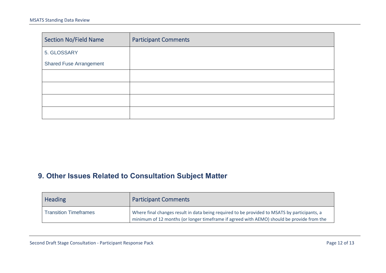| <b>Section No/Field Name</b>   | <b>Participant Comments</b> |
|--------------------------------|-----------------------------|
| 5. GLOSSARY                    |                             |
| <b>Shared Fuse Arrangement</b> |                             |
|                                |                             |
|                                |                             |
|                                |                             |
|                                |                             |

### **9. Other Issues Related to Consultation Subject Matter**

<span id="page-11-0"></span>

| <b>Heading</b>               | <b>Participant Comments</b>                                                                                                                                                               |
|------------------------------|-------------------------------------------------------------------------------------------------------------------------------------------------------------------------------------------|
| <b>Transition Timeframes</b> | Where final changes result in data being required to be provided to MSATS by participants, a<br>minimum of 12 months (or longer timeframe if agreed with AEMO) should be provide from the |